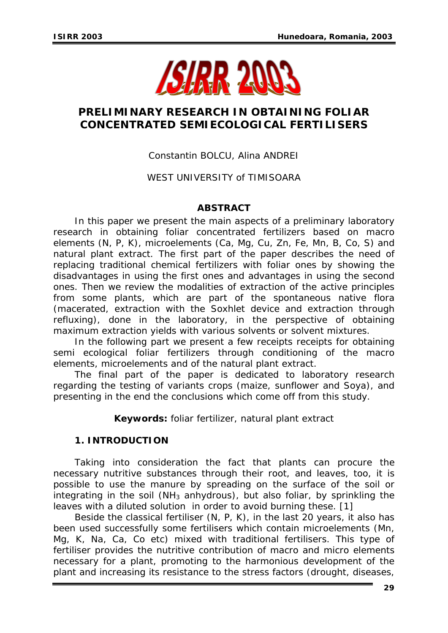

# **PRELIMINARY RESEARCH IN OBTAINING FOLIAR CONCENTRATED SEMIECOLOGICAL FERTILISERS**

## Constantin BOLCU, Alina ANDREI

## WEST UNIVERSITY of TIMISOARA

### **ABSTRACT**

*In this paper we present the main aspects of a preliminary laboratory research in obtaining foliar concentrated fertilizers based on macro elements (N, P, K), microelements (Ca, Mg, Cu, Zn, Fe, Mn, B, Co, S) and natural plant extract. The first part of the paper describes the need of replacing traditional chemical fertilizers with foliar ones by showing the disadvantages in using the first ones and advantages in using the second ones. Then we review the modalities of extraction of the active principles from some plants, which are part of the spontaneous native flora (macerated, extraction with the Soxhlet device and extraction through refluxing), done in the laboratory, in the perspective of obtaining maximum extraction yields with various solvents or solvent mixtures.* 

In the following part we present a few receipts receipts for obtaining *semi ecological foliar fertilizers through conditioning of the macro elements, microelements and of the natural plant extract.* 

*The final part of the paper is dedicated to laboratory research regarding the testing of variants crops (maize, sunflower and Soya), and presenting in the end the conclusions which come off from this study.* 

*Keywords: foliar fertilizer, natural plant extract*

### **1. INTRODUCTION**

Taking into consideration the fact that plants can procure the necessary nutritive substances through their root, and leaves, too, it is possible to use the manure by spreading on the surface of the soil or integrating in the soil ( $NH<sub>3</sub>$  anhydrous), but also foliar, by sprinkling the leaves with a diluted solution in order to avoid burning these. [1]

Beside the classical fertiliser (N, P, K), in the last 20 years, it also has been used successfully some fertilisers which contain microelements (Mn, Mg, K, Na, Ca, Co etc) mixed with traditional fertilisers. This type of fertiliser provides the nutritive contribution of macro and micro elements necessary for a plant, promoting to the harmonious development of the plant and increasing its resistance to the stress factors (drought, diseases,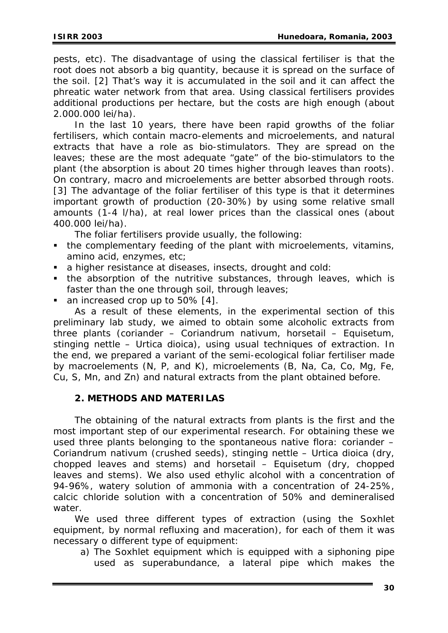pests, etc). The disadvantage of using the classical fertiliser is that the root does not absorb a big quantity, because it is spread on the surface of the soil. [2] That's way it is accumulated in the soil and it can affect the phreatic water network from that area. Using classical fertilisers provides additional productions per hectare, but the costs are high enough (about 2.000.000 lei/ha).

In the last 10 years, there have been rapid growths of the foliar fertilisers, which contain macro-elements and microelements, and natural extracts that have a role as bio-stimulators. They are spread on the leaves; these are the most adequate "gate" of the bio-stimulators to the plant (the absorption is about 20 times higher through leaves than roots). On contrary, macro and microelements are better absorbed through roots. [3] The advantage of the foliar fertiliser of this type is that it determines important growth of production (20-30%) by using some relative small amounts (1-4 l/ha), at real lower prices than the classical ones (about 400.000 lei/ha).

The foliar fertilisers provide usually, the following:

- the complementary feeding of the plant with microelements, vitamins, amino acid, enzymes, etc;
- a higher resistance at diseases, insects, drought and cold:
- the absorption of the nutritive substances, through leaves, which is faster than the one through soil, through leaves;
- an increased crop up to 50% [4].

As a result of these elements, in the experimental section of this preliminary lab study, we aimed to obtain some alcoholic extracts from three plants (coriander – *Coriandrum nativum*, horsetail – *Equisetum,*  stinging nettle – *Urtica dioica*), using usual techniques of extraction. In the end, we prepared a variant of the semi-ecological foliar fertiliser made by macroelements (N, P, and K), microelements (B, Na, Ca, Co, Mg, Fe, Cu, S, Mn, and Zn) and natural extracts from the plant obtained before.

#### **2. METHODS AND MATERILAS**

The obtaining of the natural extracts from plants is the first and the most important step of our experimental research. For obtaining these we used three plants belonging to the spontaneous native flora: coriander – *Coriandrum nativum* (crushed seeds), stinging nettle – *Urtica dioica* (dry, chopped leaves and stems) and horsetail – *Equisetum* (dry, chopped leaves and stems). We also used ethylic alcohol with a concentration of 94-96%, watery solution of ammonia with a concentration of 24-25%, calcic chloride solution with a concentration of 50% and demineralised water.

We used three different types of extraction (using the Soxhlet equipment, by normal refluxing and maceration), for each of them it was necessary o different type of equipment:

a) The Soxhlet equipment which is equipped with a siphoning pipe used as superabundance, a lateral pipe which makes the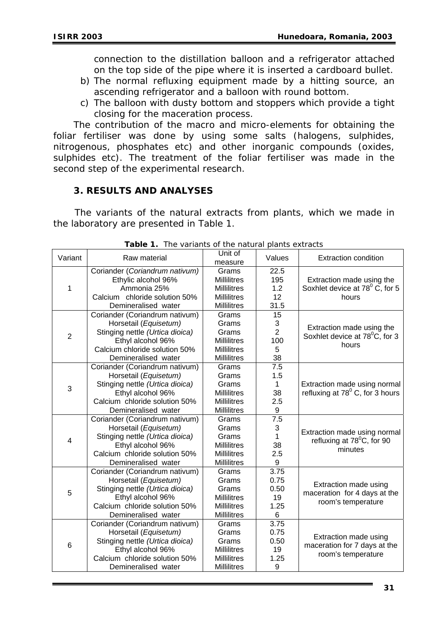connection to the distillation balloon and a refrigerator attached on the top side of the pipe where it is inserted a cardboard bullet.

- b) The normal refluxing equipment made by a hitting source, an ascending refrigerator and a balloon with round bottom.
- c) The balloon with dusty bottom and stoppers which provide a tight closing for the maceration process.

The contribution of the macro and micro-elements for obtaining the foliar fertiliser was done by using some salts (halogens, sulphides, nitrogenous, phosphates etc) and other inorganic compounds (oxides, sulphides etc). The treatment of the foliar fertiliser was made in the second step of the experimental research.

#### **3. RESULTS AND ANALYSES**

The variants of the natural extracts from plants, which we made in the laboratory are presented in Table 1.

| Variant        | Raw material                    | Unit of<br>measure | Values           | <b>Extraction condition</b>                 |
|----------------|---------------------------------|--------------------|------------------|---------------------------------------------|
|                | Coriander (Coriandrum nativum)  | Grams              | 22.5             |                                             |
|                | Ethylic alcohol 96%             | <b>Millilitres</b> | 195              | Extraction made using the                   |
| 1              | Ammonia 25%                     | <b>Millilitres</b> | 1.2              | Soxhlet device at 78 <sup>°</sup> C, for 5  |
|                | Calcium chloride solution 50%   | <b>Millilitres</b> | 12               | hours                                       |
|                | Demineralised water             | <b>Millilitres</b> | 31.5             |                                             |
|                | Coriander (Coriandrum nativum)  | Grams              | 15               |                                             |
|                | Horsetail (Equisetum)           | Grams              | 3                | Extraction made using the                   |
| $\overline{2}$ | Stinging nettle (Urtica dioica) | Grams              | $\overline{2}$   | Soxhlet device at 78 <sup>°</sup> C, for 3  |
|                | Ethyl alcohol 96%               | <b>Millilitres</b> | 100              | hours                                       |
|                | Calcium chloride solution 50%   | <b>Millilitres</b> | 5                |                                             |
|                | Demineralised water             | <b>Millilitres</b> | 38               |                                             |
|                | Coriander (Coriandrum nativum)  | Grams              | 7.5              |                                             |
|                | Horsetail (Equisetum)           | Grams              | 1.5              |                                             |
| 3              | Stinging nettle (Urtica dioica) | Grams              | $\mathbf{1}$     | Extraction made using normal                |
|                | Ethyl alcohol 96%               | <b>Millilitres</b> | 38               | refluxing at 78 <sup>°</sup> C, for 3 hours |
|                | Calcium chloride solution 50%   | <b>Millilitres</b> | 2.5              |                                             |
|                | Demineralised water             | Millilitres        | 9                |                                             |
|                | Coriander (Coriandrum nativum)  | Grams              | $\overline{7.5}$ |                                             |
|                | Horsetail (Equisetum)           | Grams              | 3                | Extraction made using normal                |
| 4              | Stinging nettle (Urtica dioica) | Grams              | 1                | refluxing at 78 <sup>°</sup> C, for 90      |
|                | Ethyl alcohol 96%               | <b>Millilitres</b> | 38               | minutes                                     |
|                | Calcium chloride solution 50%   | <b>Millilitres</b> | 2.5              |                                             |
|                | Demineralised water             | Millilitres        | 9                |                                             |
|                | Coriander (Coriandrum nativum)  | Grams              | 3.75             |                                             |
|                | Horsetail (Equisetum)           | Grams              | 0.75             | Extraction made using                       |
| 5              | Stinging nettle (Urtica dioica) | Grams              | 0.50             | maceration for 4 days at the                |
|                | Ethyl alcohol 96%               | <b>Millilitres</b> | 19               | room's temperature                          |
|                | Calcium chloride solution 50%   | <b>Millilitres</b> | 1.25             |                                             |
|                | Demineralised water             | <b>Millilitres</b> | 6                |                                             |
|                | Coriander (Coriandrum nativum)  | Grams              | 3.75             |                                             |
|                | Horsetail (Equisetum)           | Grams              | 0.75             | Extraction made using                       |
| 6              | Stinging nettle (Urtica dioica) | Grams              | 0.50             | maceration for 7 days at the                |
|                | Ethyl alcohol 96%               | <b>Millilitres</b> | 19               | room's temperature                          |
|                | Calcium chloride solution 50%   | <b>Millilitres</b> | 1.25             |                                             |
|                | Demineralised water             | <b>Millilitres</b> | 9                |                                             |

*Table 1. The variants of the natural plants extracts*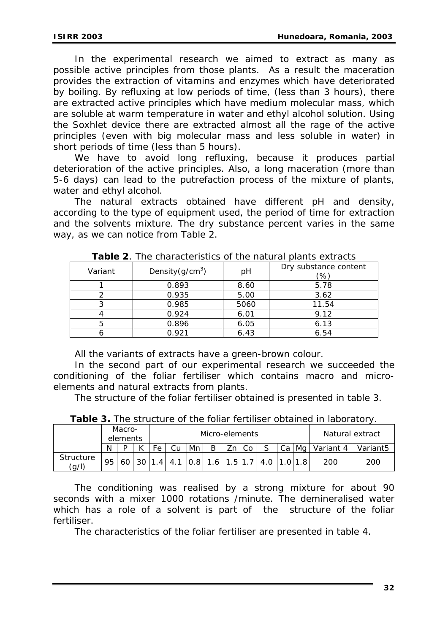In the experimental research we aimed to extract as many as possible active principles from those plants. As a result the maceration provides the extraction of vitamins and enzymes which have deteriorated by boiling. By refluxing at low periods of time, (less than 3 hours), there are extracted active principles which have medium molecular mass, which are soluble at warm temperature in water and ethyl alcohol solution. Using the Soxhlet device there are extracted almost all the rage of the active principles (even with big molecular mass and less soluble in water) in short periods of time (less than 5 hours).

We have to avoid long refluxing, because it produces partial deterioration of the active principles. Also, a long maceration (more than 5-6 days) can lead to the putrefaction process of the mixture of plants, water and ethyl alcohol.

The natural extracts obtained have different pH and density, according to the type of equipment used, the period of time for extraction and the solvents mixture. The dry substance percent varies in the same way, as we can notice from Table 2.

| Variant | Density $(g/cm^3)$ | pH   | Dry substance content<br>(%) |
|---------|--------------------|------|------------------------------|
|         | 0.893              | 8.60 | 5.78                         |
|         | 0.935              | 5.00 | 3.62                         |
|         | 0.985              | 5060 | 11.54                        |
|         | 0.924              | 6.01 | 9.12                         |
|         | 0.896              | 6.05 | 6.13                         |
|         | 0.921              | 6.43 | 6.54                         |

*Table 2. The characteristics of the natural plants extracts* 

All the variants of extracts have a green-brown colour.

In the second part of our experimental research we succeeded the conditioning of the foliar fertiliser which contains macro and microelements and natural extracts from plants.

The structure of the foliar fertiliser obtained is presented in table 3.

|  |  |  | <b>Table 3.</b> The structure of the foliar fertiliser obtained in laboratory. |
|--|--|--|--------------------------------------------------------------------------------|
|  |  |  |                                                                                |

|                    | Macro-<br>elements |    |  |    | Micro-elements |  |    |      |                                                                                                   | Natural extract |                     |                      |
|--------------------|--------------------|----|--|----|----------------|--|----|------|---------------------------------------------------------------------------------------------------|-----------------|---------------------|----------------------|
|                    | N                  |    |  | Fe | Mn             |  | Zn | l Co |                                                                                                   |                 | Ca   Mg   Variant 4 | Variant <sub>5</sub> |
| Structure<br>(a/l) | 95                 | 60 |  |    |                |  |    |      | $\vert 1.4 \vert 4.1 \vert 0.8 \vert 1.6 \vert 1.5 \vert 1.7 \vert 4.0 \vert 1.0 \vert 1.8 \vert$ |                 | 200                 | 200                  |

The conditioning was realised by a strong mixture for about 90 seconds with a mixer 1000 rotations /minute. The demineralised water which has a role of a solvent is part of the structure of the foliar fertiliser.

The characteristics of the foliar fertiliser are presented in table 4.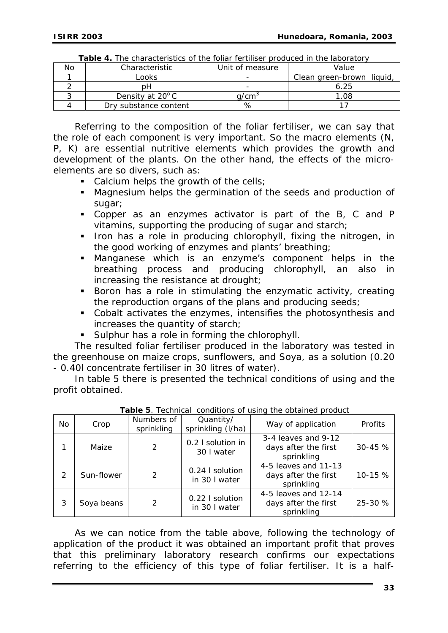| No | Characteristic        | Unit of measure   | Value                     |  |  |  |  |  |  |
|----|-----------------------|-------------------|---------------------------|--|--|--|--|--|--|
|    | Looks                 |                   | Clean green-brown liquid, |  |  |  |  |  |  |
|    | าH                    |                   | ó.25                      |  |  |  |  |  |  |
|    | Density at 20°C       | d/cm <sup>3</sup> | .08                       |  |  |  |  |  |  |
|    | Drv substance content |                   |                           |  |  |  |  |  |  |

|  | Table 4. The characteristics of the foliar fertiliser produced in the laboratory |  |  |  |  |
|--|----------------------------------------------------------------------------------|--|--|--|--|
|--|----------------------------------------------------------------------------------|--|--|--|--|

Referring to the composition of the foliar fertiliser, we can say that the role of each component is very important. So the macro elements (N, P, K) are essential nutritive elements which provides the growth and development of the plants. On the other hand, the effects of the microelements are so divers, such as:

- Calcium helps the growth of the cells;
- Magnesium helps the germination of the seeds and production of sugar;
- Copper as an enzymes activator is part of the B, C and P vitamins, supporting the producing of sugar and starch;
- Iron has a role in producing chlorophyll, fixing the nitrogen, in the good working of enzymes and plants' breathing;
- Manganese which is an enzyme's component helps in the breathing process and producing chlorophyll, an also in increasing the resistance at drought;
- **Boron has a role in stimulating the enzymatic activity, creating** the reproduction organs of the plans and producing seeds;
- Cobalt activates the enzymes, intensifies the photosynthesis and increases the quantity of starch;
- **Sulphur has a role in forming the chlorophyll.**

The resulted foliar fertiliser produced in the laboratory was tested in the greenhouse on maize crops, sunflowers, and Soya, as a solution (0.20 - 0.40l concentrate fertiliser in 30 litres of water).

In table 5 there is presented the technical conditions of using and the profit obtained.

| No. | Crop       | Numbers of<br>sprinkling | Quantity/<br>sprinkling (I/ha)   | Way of application                                         | Profits    |
|-----|------------|--------------------------|----------------------------------|------------------------------------------------------------|------------|
| 1   | Maize      | 2                        | 0.2 I solution in<br>30 I water  | 3-4 leaves and 9-12<br>days after the first<br>sprinkling  | $30 - 45%$ |
| 2   | Sun-flower | 2                        | 0.24   solution<br>in 30 I water | 4-5 leaves and 11-13<br>days after the first<br>sprinkling | 10-15 %    |
| 3   | Soya beans | 2                        | 0.22   solution<br>in 30 I water | 4-5 leaves and 12-14<br>days after the first<br>sprinkling | 25-30 %    |

*Table 5. Technical conditions of using the obtained product* 

As we can notice from the table above, following the technology of application of the product it was obtained an important profit that proves that this preliminary laboratory research confirms our expectations referring to the efficiency of this type of foliar fertiliser. It is a half